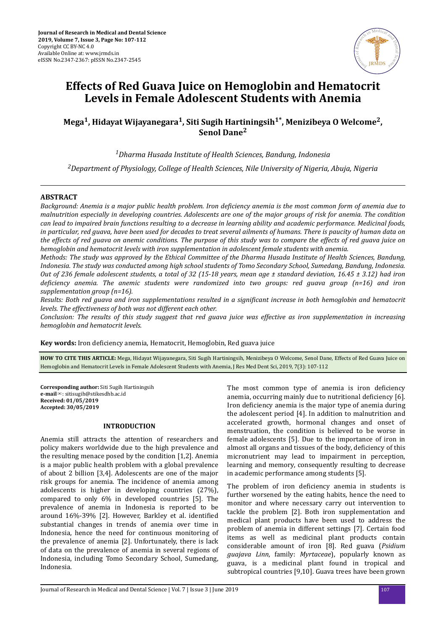

# **Effects of Red Guava Juice on Hemoglobin and Hematocrit Levels in Female Adolescent Students with Anemia**

# **Mega<sup>1</sup> , Hidayat Wijayanegara<sup>1</sup> , Siti Sugih Hartiningsih1\*, Menizibeya O Welcome<sup>2</sup> , Senol Dane<sup>2</sup>**

*<sup>1</sup>Dharma Husada Institute of Health Sciences, Bandung, Indonesia*

*<sup>2</sup>Department of Physiology, College of Health Sciences, Nile University of Nigeria, Abuja, Nigeria*

# **ABSTRACT**

*Background: Anemia is a major public health problem. Iron deϔcec anemia is the most common form of anemia due to malnutrition especially in developing countries. Adolescents are one of the major groups of risk for anemia. The condition can lead to impaired brain functions resulting to a decrease in learning ability and academic performance. Medicinal foods, in particular, red guava, have been used for decades to treat several ailments of humans. There is paucity of human data on the effects of red guava on anemic conditions. The purpose of this study was to compare the effects of red guava juice on hemoglobin and hematocrit levels with iron supplementation in adolescent female students with anemia.*

*Methods: The study was approved by the Ethical Committee of the Dharma Husada Institute of Health Sciences, Bandung, Indonesia. The study was conducted among high school students of Tomo Secondary School, Sumedang, Bandung, Indonesia. Out of 236 female adolescent students, a total of 32 (15-18 years, mean age ± standard deviation, 16.45 ± 3.12) had iron* deficiency anemia. The anemic students were randomized into two groups: red guava group (n=16) and iron *supplementation group (n=16).*

*Results: Both red guava and iron supplementations resulted in a significant increase in both hemoglobin and hematocrit levels. The effectiveness of both was not different each other.*

*Conclusion: The results of this study suggest that red guava juice was effective as iron supplementation in increasing hemoglobin and hematocrit levels.*

Key words: Iron deficiency anemia, Hematocrit, Hemoglobin, Red guava juice

**HOW TO CITE THIS ARTICLE:** Mega, Hidayat Wijayanegara, Siti Sugih Hartiningsih, Menizibeya O Welcome, Senol Dane, Effects of Red Guava Juice on Hemoglobin and Hematocrit Levels in Female Adolescent Students with Anemia, J Res Med Dent Sci, 2019, 7(3): 107-112

**Corresponding author:** Siti Sugih Hartiningsih **e-mail**✉: sitisugih@stikesdhb.ac.id **Received: 01/05/2019 Accepted: 30/05/2019**

#### **INTRODUCTION**

Anemia still attracts the attention of researchers and policy makers worldwide due to the high prevalence and the resulting menace posed by the condition [1,2]. Anemia is a major public health problem with a global prevalence of about 2 billion [3,4]. Adolescents are one of the major risk groups for anemia. The incidence of anemia among adolescents is higher in developing countries (27%), compared to only 6% in developed countries [5]. The prevalence of anemia in Indonesia is reported to be around 16%-39% [2]. However, Barkley et al. identified substantial changes in trends of anemia over time in Indonesia, hence the need for continuous monitoring of the prevalence of anemia [2]. Unfortunately, there is lack of data on the prevalence of anemia in several regions of Indonesia, including Tomo Secondary School, Sumedang, Indonesia.

The most common type of anemia is iron deficiency anemia, occurring mainly due to nutritional deficiency [6]. Iron deficiency anemia is the major type of anemia during the adolescent period [4]. In addition to malnutrition and accelerated growth, hormonal changes and onset of menstruation, the condition is believed to be worse in female adolescents [5]. Due to the importance of iron in almost all organs and tissues of the body, deficiency of this micronutrient may lead to impairment in perception, learning and memory, consequently resulting to decrease in academic performance among students [5].

The problem of iron deficiency anemia in students is further worsened by the eating habits, hence the need to monitor and where necessary carry out intervention to tackle the problem [2]. Both iron supplementation and medical plant products have been used to address the problem of anemia in different settings [7]. Certain food items as well as medicinal plant products contain considerable amount of iron [8]. Red guava (*Psidium guajava Linn*, family: *Myrtaceae*), popularly known as guava, is a medicinal plant found in tropical and subtropical countries [9,10]. Guava trees have been grown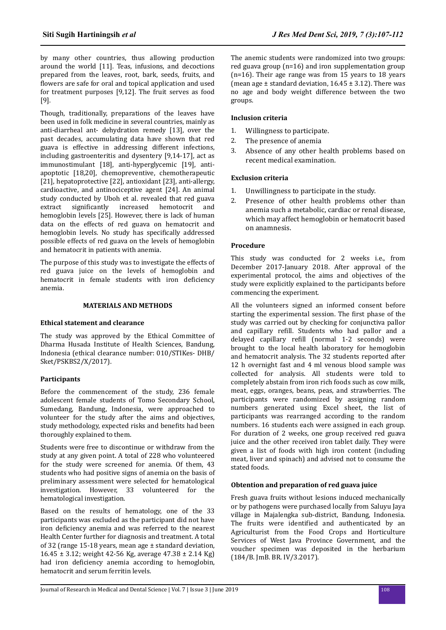by many other countries, thus allowing production around the world [11]. Teas, infusions, and decoctions prepared from the leaves, root, bark, seeds, fruits, and flowers are safe for oral and topical application and used for treatment purposes [9,12]. The fruit serves as food [9].

Though, traditionally, preparations of the leaves have been used in folk medicine in several countries, mainly as anti-diarrheal ant- dehydration remedy [13], over the past decades, accumulating data have shown that red guava is effective in addressing different infections, including gastroenteritis and dysentery [9,14-17], act as immunostimulant [18], anti-hyperglycemic [19], antiapoptotic [18,20], chemopreventive, chemotherapeutic [21], hepatoprotective [22], antioxidant [23], anti-allergy, cardioactive, and antinociceptive agent [24]. An animal study conducted by Uboh et al. revealed that red guava extract significantly increased hemotocrit and hemoglobin levels [25]. However, there is lack of human data on the effects of red guava on hematocrit and hemoglobin levels. No study has specifically addressed possible effects of red guava on the levels of hemoglobin and hematocrit in patients with anemia.

The purpose of this study was to investigate the effects of red guava juice on the levels of hemoglobin and hematocrit in female students with iron deficiency anemia.

## **MATERIALS AND METHODS**

#### **Ethical statement and clearance**

The study was approved by the Ethical Committee of Dharma Husada Institute of Health Sciences, Bandung, Indonesia (ethical clearance number: 010/STIKes- DHB/ Sket/PSKBS2/X/2017).

# **Participants**

Before the commencement of the study, 236 female adolescent female students of Tomo Secondary School, Sumedang, Bandung, Indonesia, were approached to volunteer for the study after the aims and objectives, study methodology, expected risks and benefits had been thoroughly explained to them.

Students were free to discontinue or withdraw from the study at any given point. A total of 228 who volunteered for the study were screened for anemia. Of them, 43 students who had positive signs of anemia on the basis of preliminary assessment were selected for hematological investigation. However, 33 volunteered for the hematological investigation.

Based on the results of hematology, one of the 33 participants was excluded as the participant did not have iron deficiency anemia and was referred to the nearest Health Center further for diagnosis and treatment. A total of 32 (range 15-18 years, mean age ± standard deviation,  $16.45 \pm 3.12$ ; weight 42-56 Kg, average 47.38  $\pm$  2.14 Kg) had iron deficiency anemia according to hemoglobin, hematocrit and serum ferritin levels.

The anemic students were randomized into two groups: red guava group (n=16) and iron supplementation group (n=16). Their age range was from 15 years to 18 years (mean age  $\pm$  standard deviation, 16.45  $\pm$  3.12). There was no age and body weight difference between the two groups.

## **Inclusion criteria**

- 1. Willingness to participate.
- 2. The presence of anemia
- 3. Absence of any other health problems based on recent medical examination.

#### **Exclusion criteria**

- 1. Unwillingness to participate in the study.
- 2. Presence of other health problems other than anemia such a metabolic, cardiac or renal disease, which may affect hemoglobin or hematocrit based on anamnesis.

#### **Procedure**

This study was conducted for 2 weeks i.e., from December 2017-January 2018. After approval of the experimental protocol, the aims and objectives of the study were explicitly explained to the participants before commencing the experiment.

All the volunteers signed an informed consent before starting the experimental session. The first phase of the study was carried out by checking for conjunctiva pallor and capillary refill. Students who had pallor and a delayed capillary refill (normal 1-2 seconds) were brought to the local health laboratory for hemoglobin and hematocrit analysis. The 32 students reported after 12 h overnight fast and 4 ml venous blood sample was collected for analysis. All students were told to completely abstain from iron rich foods such as cow milk, meat, eggs, oranges, beans, peas, and strawberries. The participants were randomized by assigning random numbers generated using Excel sheet, the list of participants was rearranged according to the random numbers. 16 students each were assigned in each group. For duration of 2 weeks, one group received red guava juice and the other received iron tablet daily. They were given a list of foods with high iron content (including meat, liver and spinach) and advised not to consume the stated foods.

#### **Obtention and preparation of red guava juice**

Fresh guava fruits without lesions induced mechanically or by pathogens were purchased locally from Saluyu Jaya village in Majalengka sub-district, Bandung, Indonesia. The fruits were identified and authenticated by an Agriculturist from the Food Crops and Horticulture Services of West Java Province Government, and the voucher specimen was deposited in the herbarium (184/B. JmB. BR. IV/3.2017).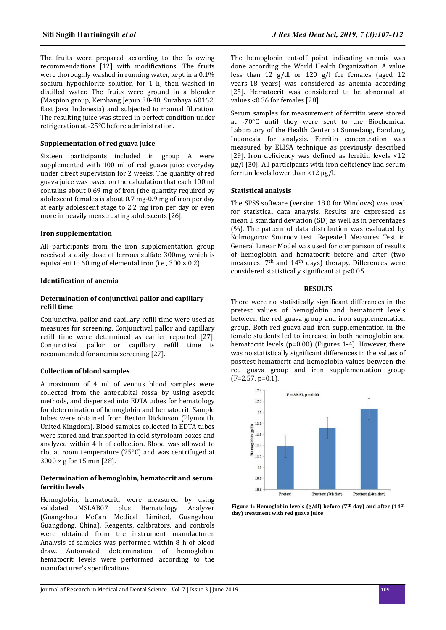The fruits were prepared according to the following recommendations [12] with modifications. The fruits were thoroughly washed in running water, kept in a 0.1% sodium hypochlorite solution for 1 h, then washed in distilled water. The fruits were ground in a blender (Maspion group, Kembang Jepun 38-40, Surabaya 60162, East Java, Indonesia) and subjected to manual filtration. The resulting juice was stored in perfect condition under refrigeration at -25°C before administration.

# **Supplementation of red guava juice**

Sixteen participants included in group A were supplemented with 100 ml of red guava juice everyday under direct supervision for 2 weeks. The quantity of red guava juice was based on the calculation that each 100 ml contains about 0.69 mg of iron (the quantity required by adolescent females is about 0.7 mg-0.9 mg of iron per day at early adolescent stage to 2.2 mg iron per day or even more in heavily menstruating adolescents [26].

## **Iron supplementation**

All participants from the iron supplementation group received a daily dose of ferrous sulfate 300mg, which is equivalent to 60 mg of elemental iron (i.e.,  $300 \times 0.2$ ).

#### **Identification of anemia**

## **Determination of conjunctival pallor and capillary refill** time

Conjunctival pallor and capillary refill time were used as measures for screening. Conjunctival pallor and capillary refill time were determined as earlier reported [27]. Conjunctival pallor or capillary refill time is recommended for anemia screening [27].

# **Collection of blood samples**

A maximum of 4 ml of venous blood samples were collected from the antecubital fossa by using aseptic methods, and dispensed into EDTA tubes for hematology for determination of hemoglobin and hematocrit. Sample tubes were obtained from Becton Dickinson (Plymouth, United Kingdom). Blood samples collected in EDTA tubes were stored and transported in cold styrofoam boxes and analyzed within 4 h of collection. Blood was allowed to clot at room temperature (25°C) and was centrifuged at 3000 × g for 15 min [28].

#### **Determination of hemoglobin, hematocrit and serum ferritin levels**

Hemoglobin, hematocrit, were measured by using validated MSLAB07 plus Hematology Analyzer (Guangzhou MeCan Medical Limited, Guangzhou, Guangdong, China). Reagents, calibrators, and controls were obtained from the instrument manufacturer. Analysis of samples was performed within 8 h of blood draw. Automated determination of hemoglobin, hematocrit levels were performed according to the manufacturer's specifications.

The hemoglobin cut-off point indicating anemia was done according the World Health Organization. A value less than 12 g/dl or 120 g/l for females (aged 12 years-18 years) was considered as anemia according [25]. Hematocrit was considered to be abnormal at values <0.36 for females [28].

Serum samples for measurement of ferritin were stored at -70°C until they were sent to the Biochemical Laboratory of the Health Center at Sumedang, Bandung, Indonesia for analysis. Ferritin concentration was measured by ELISA technique as previously described [29]. Iron deficiency was defined as ferritin levels <12  $\mu$ g/l [30]. All participants with iron deficiency had serum ferritin levels lower than <12 µg/l.

## **Statistical analysis**

The SPSS software (version 18.0 for Windows) was used for statistical data analysis. Results are expressed as mean ± standard deviation (SD) as well as in percentages (%). The pattern of data distribution was evaluated by Kolmogorov Smirnov test. Repeated Measures Test in General Linear Model was used for comparison of results of hemoglobin and hematocrit before and after (two measures:  $7<sup>th</sup>$  and  $14<sup>th</sup>$  days) therapy. Differences were considered statistically significant at p<0.05.

### **RESULTS**

There were no statistically significant differences in the pretest values of hemoglobin and hematocrit levels between the red guava group and iron supplementation group. Both red guava and iron supplementation in the female students led to increase in both hemoglobin and hematocrit levels (p=0.00) (Figures 1-4). However, there was no statistically significant differences in the values of posttest hematocrit and hemoglobin values between the red guava group and iron supplementation group (F=2.57, p=0.1).



**Figure 1: Hemoglobin levels (g/dl) before (7th day) and after (14th day) treatment with red guava juice**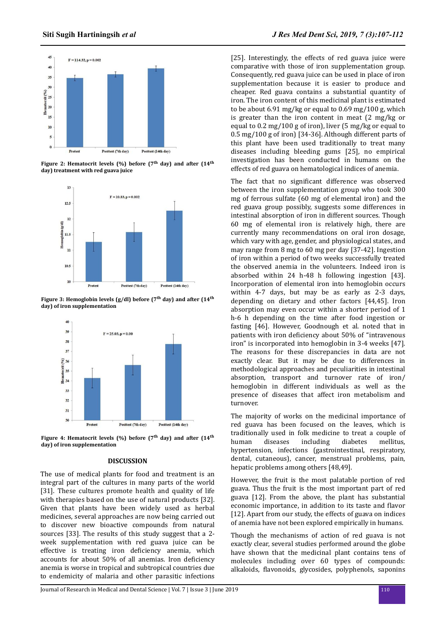

**Figure 2: Hematocrit levels (%) before (7th day) and after (14th day) treatment with red guava juice**



**Figure 3: Hemoglobin levels (g/dl) before (7th day) and after (14th day) of iron supplementation**



**Figure 4: Hematocrit levels (%) before (7th day) and after (14th day) of iron supplementation**

#### **DISCUSSION**

The use of medical plants for food and treatment is an integral part of the cultures in many parts of the world [31]. These cultures promote health and quality of life with therapies based on the use of natural products [32]. Given that plants have been widely used as herbal medicines, several approaches are now being carried out to discover new bioactive compounds from natural sources [33]. The results of this study suggest that a 2 week supplementation with red guava juice can be effective is treating iron deficiency anemia, which accounts for about 50% of all anemias. Iron deficiency anemia is worse in tropical and subtropical countries due to endemicity of malaria and other parasitic infections

[25]. Interestingly, the effects of red guava juice were comparative with those of iron supplementation group. Consequently, red guava juice can be used in place of iron supplementation because it is easier to produce and cheaper. Red guava contains a substantial quantity of iron. The iron content of this medicinal plant is estimated to be about 6.91 mg/kg or equal to 0.69 mg/100 g, which is greater than the iron content in meat (2 mg/kg or equal to 0.2 mg/100 g of iron), liver (5 mg/kg or equal to 0.5 mg/100 g of iron) [34-36]. Although different parts of this plant have been used traditionally to treat many diseases including bleeding gums [25], no empirical investigation has been conducted in humans on the effects of red guava on hematological indices of anemia.

The fact that no significant difference was observed between the iron supplementation group who took 300 mg of ferrous sulfate (60 mg of elemental iron) and the red guava group possibly, suggests some differences in intestinal absorption of iron in different sources. Though 60 mg of elemental iron is relatively high, there are currently many recommendations on oral iron dosage, which vary with age, gender, and physiological states, and may range from 8 mg to 60 mg per day [37-42]. Ingestion of iron within a period of two weeks successfully treated the observed anemia in the volunteers. Indeed iron is absorbed within 24 h-48 h following ingestion [43]. Incorporation of elemental iron into hemoglobin occurs within 4-7 days, but may be as early as 2-3 days, depending on dietary and other factors [44,45]. Iron absorption may even occur within a shorter period of 1 h-6 h depending on the time after food ingestion or fasting [46]. However, Goodnough et al. noted that in patients with iron deficiency about 50% of "intravenous iron" is incorporated into hemoglobin in 3-4 weeks [47]. The reasons for these discrepancies in data are not exactly clear. But it may be due to differences in methodological approaches and peculiarities in intestinal absorption, transport and turnover rate of iron/ hemoglobin in different individuals as well as the presence of diseases that affect iron metabolism and turnover.

The majority of works on the medicinal importance of red guava has been focused on the leaves, which is traditionally used in folk medicine to treat a couple of human diseases including diabetes mellitus, hypertension, infections (gastrointestinal, respiratory, dental, cutaneous), cancer, menstrual problems, pain, hepatic problems among others [48,49].

However, the fruit is the most palatable portion of red guava. Thus the fruit is the most important part of red guava [12]. From the above, the plant has substantial economic importance, in addition to its taste and flavor [12]. Apart from our study, the effects of guava on indices of anemia have not been explored empirically in humans.

Though the mechanisms of action of red guava is not exactly clear, several studies performed around the globe have shown that the medicinal plant contains tens of molecules including over 60 types of compounds: alkaloids, flavonoids, glycosides, polyphenols, saponins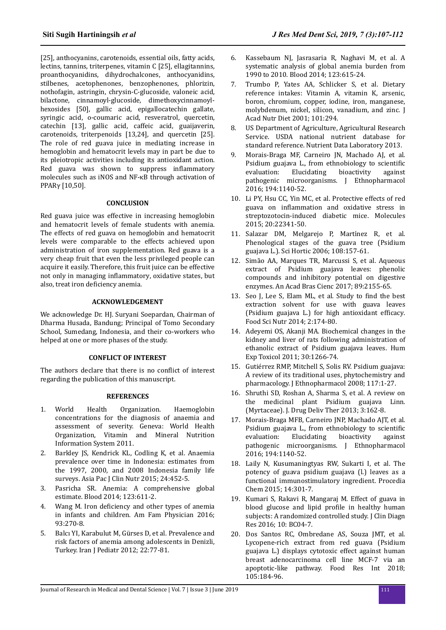[25], anthocyanins, carotenoids, essential oils, fatty acids, lectins, tannins, triterpenes, vitamin C [25], ellagitannins, proanthocyanidins, dihydrochalcones, anthocyanidins, stilbenes, acetophenones, benzophenones, phlorizin, nothofagin, astringin, chrysin-C-glucoside, valoneic acid, bilactone, cinnamoyl-glucoside, dimethoxycinnamoylhexosides [50], gallic acid, epigallocatechin gallate, syringic acid, o-coumaric acid, resveratrol, quercetin, catechin [13], gallic acid, caffeic acid, guaijaverin, carotenoids, triterpenoids [13,24], and quercetin [25]. The role of red guava juice in mediating increase in hemoglobin and hematocrit levels may in part be due to its pleiotropic activities including its antioxidant action. Red guava was shown to suppress inflammatory molecules such as iNOS and NF-κB through activation of PPARγ [10,50].

#### **CONCLUSION**

Red guava juice was effective in increasing hemoglobin and hematocrit levels of female students with anemia. The effects of red guava on hemoglobin and hematocrit levels were comparable to the effects achieved upon administration of iron supplementation. Red guava is a very cheap fruit that even the less privileged people can acquire it easily. Therefore, this fruit juice can be effective not only in managing inflammatory, oxidative states, but also, treat iron deficiency anemia.

#### **ACKNOWLEDGEMENT**

We acknowledge Dr. HJ. Suryani Soepardan, Chairman of Dharma Husada, Bandung; Principal of Tomo Secondary School, Sumedang, Indonesia, and their co-workers who helped at one or more phases of the study.

#### **CONFLICT OF INTEREST**

The authors declare that there is no conflict of interest regarding the publication of this manuscript.

# **REFERENCES**

- 1. World Health Organization. Haemoglobin concentrations for the diagnosis of anaemia and assessment of severity. Geneva: World Health Organization, Vitamin and Mineral Nutrition Information System 2011.
- 2. Barkley JS, Kendrick KL, Codling K, et al. Anaemia prevalence over time in Indonesia: estimates from the 1997, 2000, and 2008 Indonesia family life surveys. Asia Pac J Clin Nutr 2015; 24:452-5.
- 3. Pasricha SR. Anemia: A comprehensive global estimate. Blood 2014; 123:611-2.
- 4. Wang M. Iron deficiency and other types of anemia in infants and children. Am Fam Physician 2016; 93:270-8.
- 5. Balcı YI, Karabulut M, Gürses D, et al. Prevalence and risk factors of anemia among adolescents in Denizli, Turkey. Iran J Pediatr 2012; 22:77-81.
- 6. Kassebaum NJ, Jasrasaria R, Naghavi M, et al. A systematic analysis of global anemia burden from 1990 to 2010. Blood 2014; 123:615-24.
- 7. Trumbo P, Yates AA, Schlicker S, et al. Dietary reference intakes: Vitamin A, vitamin K, arsenic, boron, chromium, copper, iodine, iron, manganese, molybdenum, nickel, silicon, vanadium, and zinc. J Acad Nutr Diet 2001; 101:294.
- 8. US Department of Agriculture, Agricultural Research Service. USDA national nutrient database for standard reference. Nutrient Data Laboratory 2013.
- 9. Morais-Braga MF, Carneiro JN, Machado AJ, et al. Psidium guajava L., from ethnobiology to scientific evaluation: Elucidating bioactivity against pathogenic microorganisms. J Ethnopharmacol 2016; 194:1140-52.
- 10. Li PY, Hsu CC, Yin MC, et al. Protective effects of red guava on inflammation and oxidative stress in streptozotocin-induced diabetic mice. Molecules 2015; 20:22341-50.
- 11. Salazar DM, Melgarejo P, Martínez R, et al. Phenological stages of the guava tree (Psidium guajava L.). Sci Hortic 2006; 108:157-61.
- 12. Simão AA, Marques TR, Marcussi S, et al. Aqueous extract of Psidium guajava leaves: phenolic compounds and inhibitory potential on digestive enzymes. An Acad Bras Cienc 2017; 89:2155-65.
- 13. Seo J, Lee S, Elam ML, et al. Study to find the best extraction solvent for use with guava leaves (Psidium guajava L.) for high antioxidant efficacy. Food Sci Nutr 2014; 2:174-80.
- 14. Adeyemi OS, Akanji MA. Biochemical changes in the kidney and liver of rats following administration of ethanolic extract of Psidium guajava leaves. Hum Exp Toxicol 2011; 30:1266-74.
- 15. Gutiérrez RMP, Mitchell S, Solis RV. Psidium guajava: A review of its traditional uses, phytochemistry and pharmacology. J Ethnopharmacol 2008; 117:1-27.
- 16. Shruthi SD, Roshan A, Sharma S, et al. A review on the medicinal plant Psidium guajava Linn. (Myrtaceae). J. Drug Deliv Ther 2013; 3:162-8.
- 17. Morais-Braga MFB, Carneiro JNP, Machado AJT, et al. Psidium guajava L., from ethnobiology to scientific evaluation: Elucidating bioactivity against pathogenic microorganisms. J Ethnopharmacol 2016; 194:1140-52.
- 18. Laily N, Kusumaningtyas RW, Sukarti I, et al. The potency of guava psidium guajava (l.) leaves as a functional immunostimulatory ingredient. Procedia Chem 2015; 14:301-7.
- 19. Kumari S, Rakavi R, Mangaraj M. Effect of guava in blood glucose and lipid profile in healthy human subjects: A randomized controlled study. J Clin Diagn Res 2016; 10: BC04-7.
- 20. Dos Santos RC, Ombredane AS, Souza JMT, et al. Lycopene-rich extract from red guava (Psidium guajava L.) displays cytotoxic effect against human breast adenocarcinoma cell line MCF-7 via an apoptotic-like pathway. Food Res Int 2018; 105:184-96.